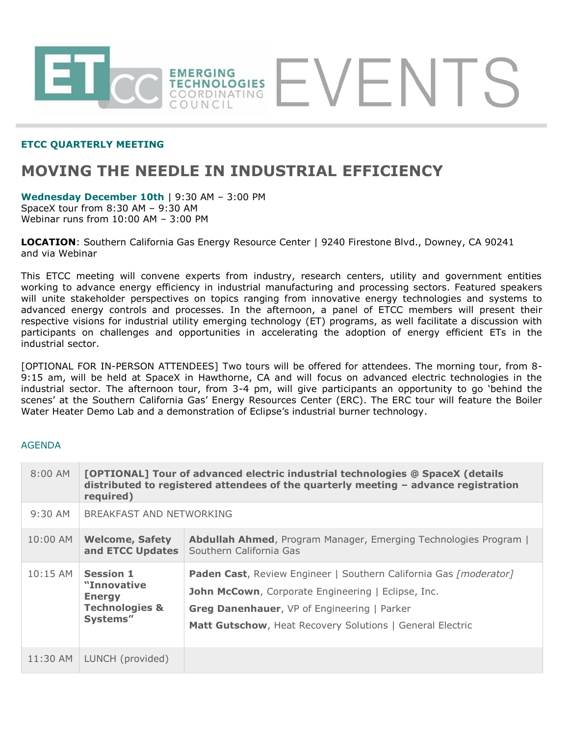

### **ETCC QUARTERLY MEETING**

# **MOVING THE NEEDLE IN INDUSTRIAL EFFICIENCY**

**Wednesday December 10th** | 9:30 AM – 3:00 PM SpaceX tour from 8:30 AM – 9:30 AM Webinar runs from 10:00 AM – 3:00 PM

**LOCATION**: Southern California Gas Energy Resource Center | 9240 Firestone Blvd., Downey, CA 90241 and via Webinar

This ETCC meeting will convene experts from industry, research centers, utility and government entities working to advance energy efficiency in industrial manufacturing and processing sectors. Featured speakers will unite stakeholder perspectives on topics ranging from innovative energy technologies and systems to advanced energy controls and processes. In the afternoon, a panel of ETCC members will present their respective visions for industrial utility emerging technology (ET) programs, as well facilitate a discussion with participants on challenges and opportunities in accelerating the adoption of energy efficient ETs in the industrial sector.

[OPTIONAL FOR IN-PERSON ATTENDEES] Two tours will be offered for attendees. The morning tour, from 8- 9:15 am, will be held at SpaceX in Hawthorne, CA and will focus on advanced electric technologies in the industrial sector. The afternoon tour, from 3-4 pm, will give participants an opportunity to go 'behind the scenes' at the Southern California Gas' Energy Resources Center (ERC). The ERC tour will feature the Boiler Water Heater Demo Lab and a demonstration of Eclipse's industrial burner technology.

### AGENDA

| $8:00$ AM  | [OPTIONAL] Tour of advanced electric industrial technologies @ SpaceX (details<br>distributed to registered attendees of the quarterly meeting - advance registration<br>required) |                                                                                                                                                                                                                                            |
|------------|------------------------------------------------------------------------------------------------------------------------------------------------------------------------------------|--------------------------------------------------------------------------------------------------------------------------------------------------------------------------------------------------------------------------------------------|
| $9:30$ AM  | BREAKFAST AND NETWORKING                                                                                                                                                           |                                                                                                                                                                                                                                            |
| 10:00 AM   | <b>Welcome, Safety</b><br>and ETCC Updates                                                                                                                                         | <b>Abdullah Ahmed, Program Manager, Emerging Technologies Program  </b><br>Southern California Gas                                                                                                                                         |
| $10:15$ AM | <b>Session 1</b><br>"Innovative<br><b>Energy</b><br><b>Technologies &amp;</b><br>Systems"                                                                                          | Paden Cast, Review Engineer   Southern California Gas [moderator]<br>John McCown, Corporate Engineering   Eclipse, Inc.<br><b>Greg Danenhauer, VP of Engineering   Parker</b><br>Matt Gutschow, Heat Recovery Solutions   General Electric |
| 11:30 AM   | LUNCH (provided)                                                                                                                                                                   |                                                                                                                                                                                                                                            |